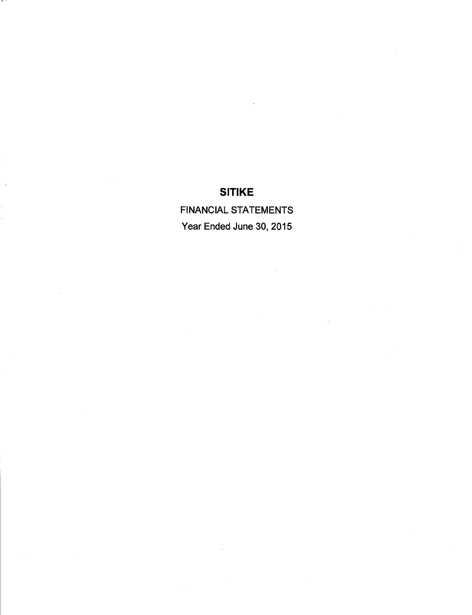*FINANCIAL STATEMENTS Year Ended June 30, 2015*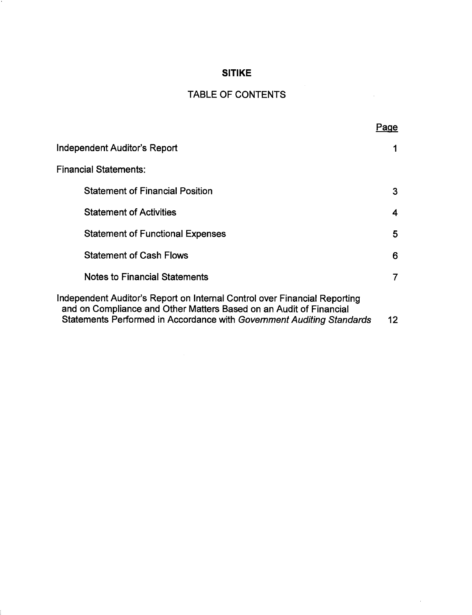# TABLE OF CONTENTS

 $\bar{A}$ 

 $\ddot{\phantom{a}}$ 

|                                                                                                                                                                                                                          | Page |
|--------------------------------------------------------------------------------------------------------------------------------------------------------------------------------------------------------------------------|------|
| Independent Auditor's Report                                                                                                                                                                                             |      |
| <b>Financial Statements:</b>                                                                                                                                                                                             |      |
| <b>Statement of Financial Position</b>                                                                                                                                                                                   | 3    |
| <b>Statement of Activities</b>                                                                                                                                                                                           | 4    |
| <b>Statement of Functional Expenses</b>                                                                                                                                                                                  | 5    |
| <b>Statement of Cash Flows</b>                                                                                                                                                                                           | 6    |
| Notes to Financial Statements                                                                                                                                                                                            | 7    |
| Independent Auditor's Report on Internal Control over Financial Reporting<br>and on Compliance and Other Matters Based on an Audit of Financial<br>Statements Performed in Accordance with Government Auditing Standards | 12   |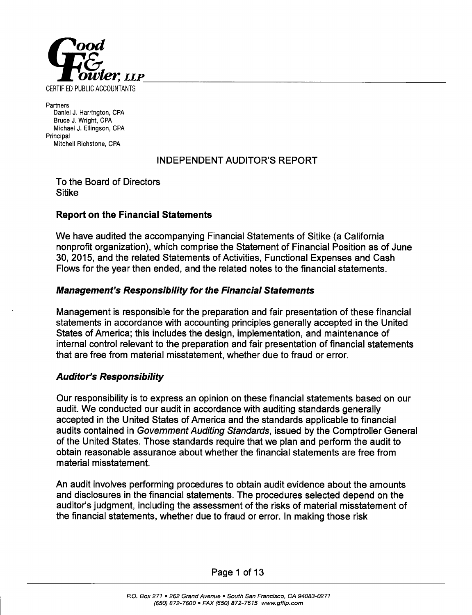

*Partners DanielJ. Harrington, CPA Bruce J. Wright, CPA Michael J. Ellingson, CPA Principal Mitchell Richstone, CPA*

# INDEPENDENT AUDITOR'S REPORT

To the Board of Directors Sitike

# *Report on the Financial Statements*

We have audited the accompanying Financial Statements of Sitike (a California nonprofit organization), which comprise the Statement of Financial Position as of June 30, 2015, and the related Statements of Activities, Functional Expenses and Cash Flows for the year then ended, and the related notes to the financial statements.

### *Management's Responsibility for the Financial Statements*

Management is responsible for the preparation and fair presentation of these financial statements in accordance with accounting principles generally accepted in the United States of America; this includes the design, implementation, and maintenance of internal control relevant to the preparation and fair presentation of financial statements that are free from material misstatement, whether due to fraud or error.

### *Auditor's Responsibility*

Our responsibility is to express an opinion on these financial statements based on our audit. We conducted our audit in accordance with auditing standards generally accepted in the United States of America and the standards applicable to financial audits contained in **Government Auditing Standards,** issued by the Comptroller General of the United States. Those standards require that we plan and perform the audit to obtain reasonable assurance about whether the financial statements are free from material misstatement.

An audit involves performing procedures to obtain audit evidence about the amounts and disclosures in the financial statements. The procedures selected depend on the auditor's judgment, including the assessment of the risks of material misstatement of the financial statements, whether due to fraud or error. In making those risk

Page 1 of 13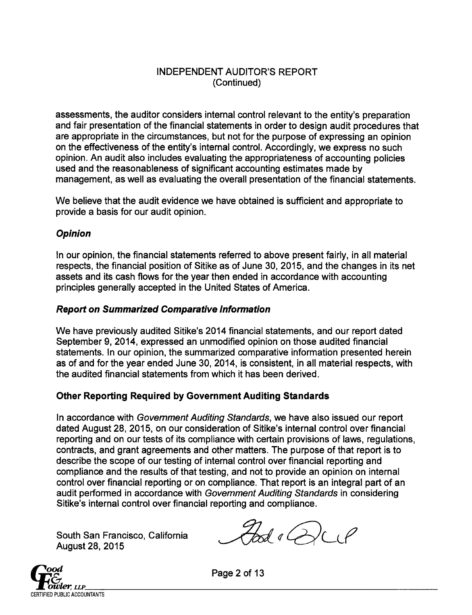# INDEPENDENT AUDITOR'S REPORT (Continued)

assessments, the auditor considers internal control relevant to the entity's preparation and fair presentation of the financial statements in order to design audit procedures that are appropriate in the circumstances, but not for the purpose of expressing an opinion on the effectiveness of the entity's internal control. Accordingly, we express no such opinion. An audit also includes evaluating the appropriateness of accounting policies used and the reasonableness of significant accounting estimates made by management, as well as evaluating the overall presentation of the financial statements.

We believe that the audit evidence we have obtained is sufficient and appropriate to provide a basis for our audit opinion.

# *Opinion*

In our opinion, the financial statements referred to above present fairly, in all material respects, the financial position of Sitike as of June 30, 2015, and the changes in its net assets and its cash flows for the year then ended in accordance with accounting principles generally accepted in the United States of America.

### *Report on Summarized Comparative Information*

We have previously audited Sitike's 2014 financial statements, and our report dated September 9, 2014, expressed an unmodified opinion on those audited financial statements. In our opinion, the summarized comparative information presented herein as of and for the year ended June 30, 2014, is consistent, in all material respects, with the audited financial statements from which it has been derived.

# *Other Reporting Required by Government Auditing Standards*

In accordance with **Government Auditing Standards,** we have also issued our report dated August 28, 2015, on our consideration of Sitike's internal control over financial reporting and on our tests of its compliance with certain provisions of laws, regulations, contracts, and grant agreements and other matters. The purpose of that report is to describe the scope of our testing of internal control over financial reporting and compliance and the results of that testing, and not to provide an opinion on internal control over financial reporting or on compliance. That report is an integral part of an audit performed in accordance with **Government Auditing Standards** in considering Sitike's internal control over financial reporting and compliance.

South San Francisco, California **and August 28, 2015** 



**°&** Page 2of 13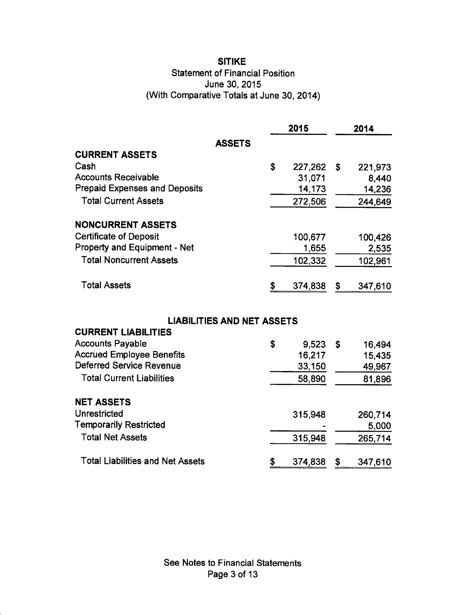# *SITIKE* Statement of Financial Position June 30, 2015 (With Comparative Totals at June 30, 2014)

|                                      | 2015          | 2014          |
|--------------------------------------|---------------|---------------|
| <b>ASSETS</b>                        |               |               |
| <b>CURRENT ASSETS</b>                |               |               |
| Cash                                 | \$<br>227,262 | \$<br>221,973 |
| <b>Accounts Receivable</b>           | 31,071        | 8,440         |
| <b>Prepaid Expenses and Deposits</b> | 14,173        | 14,236        |
| <b>Total Current Assets</b>          | 272,506       | 244,649       |
| <b>NONCURRENT ASSETS</b>             |               |               |
| <b>Certificate of Deposit</b>        | 100,677       | 100,426       |
| <b>Property and Equipment - Net</b>  | 1,655         | 2,535         |
| <b>Total Noncurrent Assets</b>       | 102,332       | 102,961       |
| <b>Total Assets</b>                  | \$<br>374,838 | \$<br>347,610 |
| <b>LIABILITIES AND NET ASSETS</b>    |               |               |
| <b>CURRENT LIABILITIES</b>           |               |               |
| <b>Accounts Payable</b>              | \$<br>9,523   | \$<br>16,494  |
| <b>Accrued Employee Benefits</b>     | 16,217        | 15,435        |
| <b>Deferred Service Revenue</b>      | 33,150        | 49,967        |
| <b>Total Current Liabilities</b>     | 58,890        | 81,896        |
| <b>NET ASSETS</b>                    |               |               |
| <b>Unrestricted</b>                  | 315,948       | 260,714       |
| <b>Temporarily Restricted</b>        |               | 5,000         |
| <b>Total Net Assets</b>              | 315,948       | 265,714       |

*\$* 374,838 \$ 347,610

Total Liabilities and Net Assets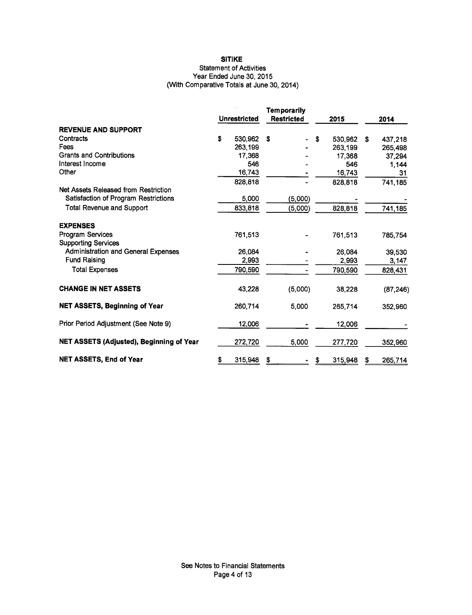### **Statement of Activities** Year Ended June 30, 2015 (With Comparative Totals at June 30, 2014)

|                                            | <b>Unrestricted</b> |         | <b>Temporarily</b><br><b>Restricted</b> |    | 2015    |   | 2014      |
|--------------------------------------------|---------------------|---------|-----------------------------------------|----|---------|---|-----------|
| <b>REVENUE AND SUPPORT</b>                 |                     |         |                                         |    |         |   |           |
| Contracts                                  | S                   | 530,962 | S                                       | \$ | 530,962 | S | 437,218   |
| Fees                                       |                     | 263,199 |                                         |    | 263.199 |   | 265,498   |
| <b>Grants and Contributions</b>            |                     | 17,368  |                                         |    | 17,368  |   | 37,294    |
| Interest Income                            |                     | 546     |                                         |    | 546     |   | 1.144     |
| Other                                      |                     | 16,743  |                                         |    | 16,743  |   | 31        |
|                                            |                     | 828,818 |                                         |    | 828,818 |   | 741,185   |
| Net Assets Released from Restriction       |                     |         |                                         |    |         |   |           |
| Satisfaction of Program Restrictions       |                     | 5,000   | (5,000)                                 |    |         |   |           |
| <b>Total Revenue and Support</b>           |                     | 833,818 | (5,000)                                 |    | 828,818 |   | 741,185   |
| <b>EXPENSES</b>                            |                     |         |                                         |    |         |   |           |
| Program Services                           |                     | 761,513 |                                         |    | 761,513 |   | 785,754   |
| <b>Supporting Services</b>                 |                     |         |                                         |    |         |   |           |
| <b>Administration and General Expenses</b> |                     | 26,084  |                                         |    | 26.084  |   | 39,530    |
| <b>Fund Raising</b>                        |                     | 2,993   |                                         |    | 2,993   |   | 3,147     |
| <b>Total Expenses</b>                      |                     | 790,590 |                                         |    | 790,590 |   | 828,431   |
| <b>CHANGE IN NET ASSETS</b>                |                     | 43.228  | (5,000)                                 |    | 38,228  |   | (87, 246) |
| <b>NET ASSETS, Beginning of Year</b>       |                     | 260,714 | 5.000                                   |    | 265,714 |   | 352,960   |
| Prior Period Adjustment (See Note 9)       |                     | 12,006  |                                         |    | 12,006  |   |           |
| NET ASSETS (Adjusted), Beginning of Year   |                     | 272,720 | 5,000                                   |    | 277,720 |   | 352,960   |
| <b>NET ASSETS, End of Year</b>             | \$                  | 315,948 | S                                       |    | 315,948 | S | 265,714   |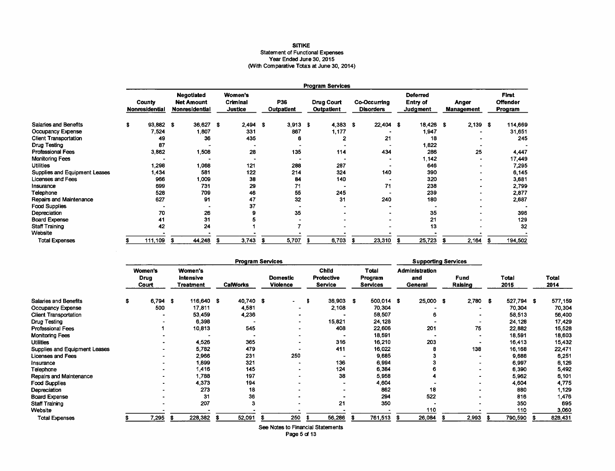# **SITIKE** Statement of Functional Expenses<br>Year Ended June 30, 2015<br>(With Comparative Totals at June 30, 2014)

|                               |                                 | <b>Program Services</b> |                                                          |           |  |                                              |                          |            |                                        |            |                                         |             |                                                |           |                     |            |                                            |
|-------------------------------|---------------------------------|-------------------------|----------------------------------------------------------|-----------|--|----------------------------------------------|--------------------------|------------|----------------------------------------|------------|-----------------------------------------|-------------|------------------------------------------------|-----------|---------------------|------------|--------------------------------------------|
|                               | County<br><b>Nonresidential</b> |                         | <b>Negotiated</b><br><b>Net Amount</b><br>Nonresidential |           |  | <b>Women's</b><br>Criminal<br><b>Justice</b> | P36<br><b>Outpatient</b> |            | <b>Drug Court</b><br><b>Outpatient</b> |            | <b>Co-Occurring</b><br><b>Disorders</b> |             | <b>Deferred</b><br>Entry of<br><b>Judgment</b> |           | Anger<br>Management |            | <b>First</b><br><b>Offender</b><br>Program |
| Salaries and Benefits         | \$                              | 93,882                  | - \$                                                     | 36,627 \$ |  | $2,494$ \$                                   |                          | $3,913$ \$ |                                        | $4,383$ \$ |                                         | $22,404$ \$ |                                                | 18,426 \$ |                     | $2,139$ \$ | 114,669                                    |
| Occupancy Expense             |                                 | 7,524                   |                                                          | 1,807     |  | 331                                          |                          | 867        |                                        | 1,177      |                                         |             |                                                | 1,947     |                     |            | 31,651                                     |
| <b>Client Transportation</b>  |                                 | 49                      |                                                          | 36        |  | 435                                          |                          | 6          |                                        | 2          |                                         | 21          |                                                | 18        |                     |            | 245                                        |
| Drug Testing                  |                                 | 87                      |                                                          |           |  |                                              |                          |            |                                        |            |                                         |             |                                                | 1,822     |                     |            |                                            |
| <b>Professional Fees</b>      |                                 | 3,862                   |                                                          | 1,508     |  | 28                                           |                          | 135        |                                        | 114        |                                         | 434         |                                                | 286       |                     | 25         | 4,447                                      |
| Monitoring Fees               |                                 |                         |                                                          |           |  |                                              |                          |            |                                        |            |                                         |             |                                                | 1,142     |                     |            | 17,449                                     |
| <b>Utilities</b>              |                                 | 1,298                   |                                                          | 1,068     |  | 121                                          |                          | 288        |                                        | 287        |                                         |             |                                                | 646       |                     |            | 7.295                                      |
| Supplies and Equipment Leases |                                 | <b>434.</b>             |                                                          | 581       |  | 122                                          |                          | 214        |                                        | 324        |                                         | 140         |                                                | 390       |                     |            | 6,145                                      |
| <b>Licenses and Fees</b>      |                                 | 966                     |                                                          | 1,009     |  | 38                                           |                          | 84         |                                        | 140        |                                         |             |                                                | 320       |                     |            | 3,681                                      |
| Insurance                     |                                 | 699                     |                                                          | 731       |  | 29                                           |                          | 71         |                                        |            |                                         | 71          |                                                | 238       |                     |            | 2,799                                      |
| Telephone                     |                                 | 528                     |                                                          | 709       |  | 46                                           |                          | 55         |                                        | 245        |                                         |             |                                                | 239       |                     |            | 2,877                                      |
| Repairs and Maintenance       |                                 | 627                     |                                                          | 91        |  | 47                                           |                          | 32         |                                        | 31         |                                         | 240         |                                                | 180       |                     |            | 2,687                                      |
| <b>Food Supplies</b>          |                                 |                         |                                                          |           |  | 37                                           |                          |            |                                        |            |                                         |             |                                                |           |                     |            |                                            |
| Depreciation                  |                                 | 70                      |                                                          | 26        |  |                                              |                          | 35         |                                        |            |                                         |             |                                                | 35        |                     |            | 396                                        |
| <b>Board Expense</b>          |                                 | 41                      |                                                          | 31        |  |                                              |                          |            |                                        |            |                                         |             |                                                | 21        |                     |            | 129                                        |
| <b>Staff Training</b>         |                                 | 42                      |                                                          | 24        |  |                                              |                          |            |                                        |            |                                         |             |                                                | 13        |                     |            | 32                                         |
| Website                       |                                 |                         |                                                          |           |  |                                              |                          |            |                                        |            |                                         |             |                                                |           |                     |            |                                            |
| <b>Total Expenses</b>         | s                               | 111,109                 | £                                                        | 44,248    |  | 3,743                                        |                          | 5,707      | S                                      | 6,703      | £                                       | 23,310      | £                                              | 25,723    |                     | 2,164      | 194,502                                    |

|                               |    | <b>Program Services</b>         |                                          |      |                 |  |                                    |   |                                              |     | <b>Supporting Services</b>          |      |                                         |  |                 |   |               |   |                      |
|-------------------------------|----|---------------------------------|------------------------------------------|------|-----------------|--|------------------------------------|---|----------------------------------------------|-----|-------------------------------------|------|-----------------------------------------|--|-----------------|---|---------------|---|----------------------|
|                               |    | <b>Women's</b><br>Drug<br>Court | Women's<br><b>Intensive</b><br>Treatment |      | <b>CalWorks</b> |  | <b>Domestic</b><br><b>Violence</b> |   | <b>Child</b><br>Protective<br><b>Service</b> |     | Total<br>Program<br><b>Services</b> |      | <b>Administration</b><br>and<br>General |  | Fund<br>Raising |   | Total<br>2015 |   | <b>Total</b><br>2014 |
| Salaries and Benefits         | s. | 6,794                           | 116,640 \$<br>- 36                       |      | 40,740 \$       |  |                                    | S | 36,903                                       | - 3 | 500,014 \$                          |      | 25,000 \$                               |  | $2,780$ \$      |   | 527,794 \$    |   | 577,159              |
| <b>Occupancy Expense</b>      |    | 500                             | 17,811                                   |      | 4,581           |  | -                                  |   | 2,108                                        |     | 70,304                              |      |                                         |  |                 |   | 70,304        |   | 70,304               |
| <b>Client Transportation</b>  |    |                                 | 53,459                                   |      | 4,236           |  |                                    |   |                                              |     | 58,507                              |      | 6                                       |  |                 |   | 58,513        |   | 56,400               |
| Drug Testing                  |    |                                 | 6,398                                    |      |                 |  |                                    |   | 15,821                                       |     | 24,128                              |      |                                         |  |                 |   | 24,128        |   | 17,429               |
| <b>Professional Fees</b>      |    |                                 | 10,813                                   |      | 545             |  |                                    |   | 408                                          |     | 22,606                              |      | 201                                     |  | 75              |   | 22,882        |   | 15,528               |
| <b>Monitoring Fees</b>        |    |                                 |                                          |      |                 |  |                                    |   |                                              |     | 18,591                              |      |                                         |  |                 |   | 18,591        |   | 18,603               |
| <b>Utilities</b>              |    |                                 | 4,526                                    |      | 365             |  |                                    |   | 316                                          |     | 16,210                              |      | 203                                     |  |                 |   | 16,413        |   | 15,432               |
| Supplies and Equipment Leases |    |                                 | 5,782                                    |      | 479             |  |                                    |   | 411                                          |     | 16,022                              |      |                                         |  | 138             |   | 16,168        |   | 22,471               |
| Licenses and Fees             |    |                                 | 2,966                                    |      | 231             |  | 250                                |   |                                              |     | 9,685                               |      |                                         |  |                 |   | 9,688         |   | 6,251                |
| Insurance                     |    |                                 | 1,899                                    |      | 321             |  |                                    |   | 136                                          |     | 6,994                               |      |                                         |  |                 |   | 6,997         |   | 6,126                |
| Telephone                     |    |                                 | 1.416                                    |      | 145             |  |                                    |   | 124                                          |     | 6,384                               |      |                                         |  |                 |   | 6,390         |   | 5,492                |
| Repairs and Maintenance       |    |                                 | 1,788                                    |      | 197             |  |                                    |   | 38                                           |     | 5,958                               |      |                                         |  |                 |   | 5,962         |   | 6,101                |
| <b>Food Supplies</b>          |    |                                 | 4,373                                    |      | 194             |  |                                    |   |                                              |     | 4,604                               |      |                                         |  |                 |   | 4,604         |   | 4,775                |
| Depreciation                  |    |                                 | 273                                      |      | 18              |  |                                    |   |                                              |     | 862                                 |      | 18                                      |  |                 |   | 880           |   | 1,129                |
| <b>Board Expense</b>          |    |                                 | 31                                       |      | 36              |  |                                    |   |                                              |     | 294                                 |      | 522                                     |  |                 |   | 816           |   | 1,476                |
| <b>Staff Training</b>         |    |                                 | 207                                      |      | 3               |  |                                    |   | 21                                           |     | 350                                 |      |                                         |  |                 |   | 350           |   | 695                  |
| Website                       |    |                                 |                                          |      |                 |  |                                    |   |                                              |     |                                     |      | 110                                     |  |                 |   | 110           |   | 3,060                |
| <b>Total Expenses</b>         |    | 7,295                           | 228,382<br>s                             | - 56 | 52,091          |  | 250                                |   | 56,286                                       |     | 761,513                             | - 36 | 26,084                                  |  | 2,993           | ж | 790,590       | s | 828,431              |

See Notes to Financial Statements

Page 5 of 13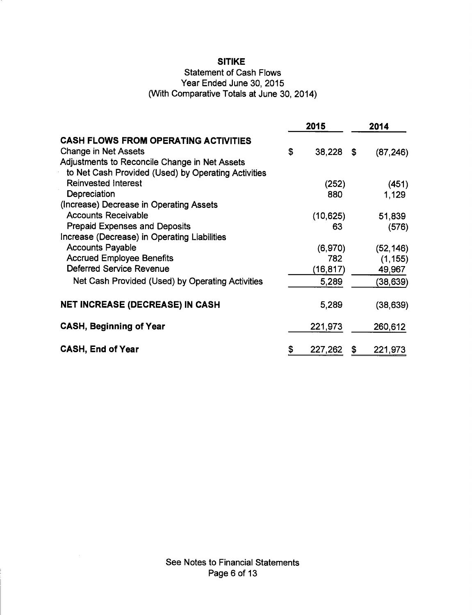**Statement of Cash Flows** 

Year Ended June 30, 2015

(With Comparative Totals at June 30, 2014)

|                                                     | 2015         | 2014            |
|-----------------------------------------------------|--------------|-----------------|
| <b>CASH FLOWS FROM OPERATING ACTIVITIES</b>         |              |                 |
| <b>Change in Net Assets</b>                         | \$<br>38,228 | \$<br>(87, 246) |
| Adjustments to Reconcile Change in Net Assets       |              |                 |
| to Net Cash Provided (Used) by Operating Activities |              |                 |
| <b>Reinvested Interest</b>                          | (252)        | (451)           |
| Depreciation                                        | 880          | 1,129           |
| (Increase) Decrease in Operating Assets             |              |                 |
| <b>Accounts Receivable</b>                          | (10, 625)    | 51,839          |
| <b>Prepaid Expenses and Deposits</b>                | 63           | (576)           |
| Increase (Decrease) in Operating Liabilities        |              |                 |
| <b>Accounts Payable</b>                             | (6,970)      | (52, 146)       |
| <b>Accrued Employee Benefits</b>                    | 782          | (1, 155)        |
| Deferred Service Revenue                            | (16,817)     | 49,967          |
| Net Cash Provided (Used) by Operating Activities    | 5,289        | (38, 639)       |
| <b>NET INCREASE (DECREASE) IN CASH</b>              | 5,289        | (38, 639)       |
| <b>CASH, Beginning of Year</b>                      | 221,973      | 260,612         |
| <b>CASH, End of Year</b>                            | 227,262      | \$<br>221,973   |

See Notes to Financial Statements Page 6 of 13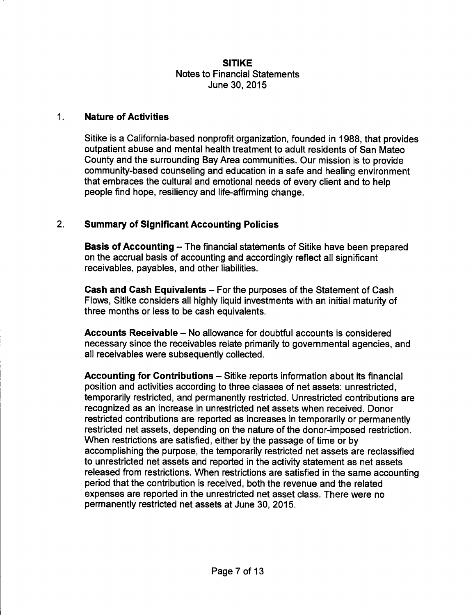### **SITIKF Notes to Financial Statements** June 30, 2015

#### $1<sub>1</sub>$ **Nature of Activities**

Sitike is a California-based nonprofit organization, founded in 1988, that provides outpatient abuse and mental health treatment to adult residents of San Mateo County and the surrounding Bay Area communities. Our mission is to provide community-based counseling and education in a safe and healing environment that embraces the cultural and emotional needs of every client and to help people find hope, resiliency and life-affirming change.

#### $2.$ **Summary of Significant Accounting Policies**

**Basis of Accounting - The financial statements of Sitike have been prepared** on the accrual basis of accounting and accordingly reflect all significant receivables, payables, and other liabilities.

Cash and Cash Equivalents – For the purposes of the Statement of Cash Flows. Sitike considers all highly liquid investments with an initial maturity of three months or less to be cash equivalents.

Accounts Receivable – No allowance for doubtful accounts is considered necessary since the receivables relate primarily to governmental agencies, and all receivables were subsequently collected.

Accounting for Contributions – Sitike reports information about its financial position and activities according to three classes of net assets: unrestricted, temporarily restricted, and permanently restricted. Unrestricted contributions are recognized as an increase in unrestricted net assets when received. Donor restricted contributions are reported as increases in temporarily or permanently restricted net assets, depending on the nature of the donor-imposed restriction. When restrictions are satisfied, either by the passage of time or by accomplishing the purpose, the temporarily restricted net assets are reclassified to unrestricted net assets and reported in the activity statement as net assets released from restrictions. When restrictions are satisfied in the same accounting period that the contribution is received, both the revenue and the related expenses are reported in the unrestricted net asset class. There were no permanently restricted net assets at June 30, 2015.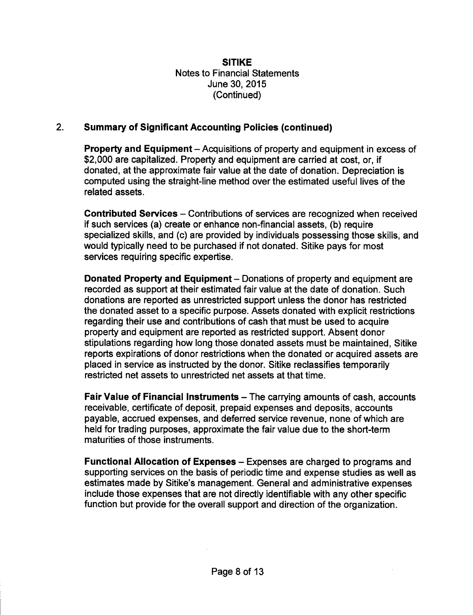#### $2<sub>1</sub>$ **Summary of Significant Accounting Policies (continued)**

Property and Equipment - Acquisitions of property and equipment in excess of \$2,000 are capitalized. Property and equipment are carried at cost, or, if donated, at the approximate fair value at the date of donation. Depreciation is computed using the straight-line method over the estimated useful lives of the related assets.

Contributed Services – Contributions of services are recognized when received if such services (a) create or enhance non-financial assets, (b) require specialized skills, and (c) are provided by individuals possessing those skills, and would typically need to be purchased if not donated. Sitike pays for most services requiring specific expertise.

Donated Property and Equipment – Donations of property and equipment are recorded as support at their estimated fair value at the date of donation. Such donations are reported as unrestricted support unless the donor has restricted the donated asset to a specific purpose. Assets donated with explicit restrictions regarding their use and contributions of cash that must be used to acquire property and equipment are reported as restricted support. Absent donor stipulations regarding how long those donated assets must be maintained. Sitike reports expirations of donor restrictions when the donated or acquired assets are placed in service as instructed by the donor. Sitike reclassifies temporarily restricted net assets to unrestricted net assets at that time.

Fair Value of Financial Instruments – The carrying amounts of cash, accounts receivable, certificate of deposit, prepaid expenses and deposits, accounts payable, accrued expenses, and deferred service revenue, none of which are held for trading purposes, approximate the fair value due to the short-term maturities of those instruments.

Functional Allocation of Expenses – Expenses are charged to programs and supporting services on the basis of periodic time and expense studies as well as estimates made by Sitike's management. General and administrative expenses include those expenses that are not directly identifiable with any other specific function but provide for the overall support and direction of the organization.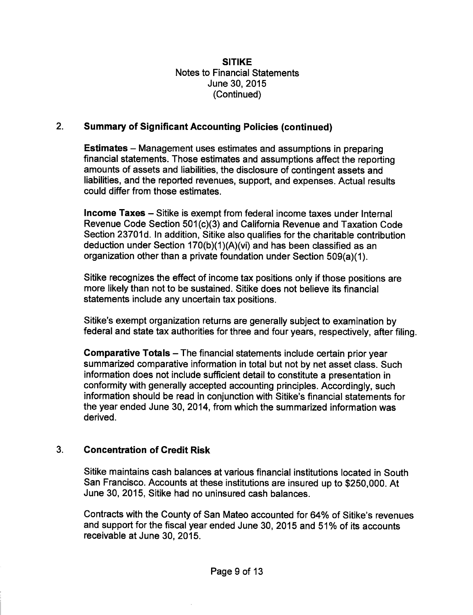#### $2.$ **Summary of Significant Accounting Policies (continued)**

**Estimates** – Management uses estimates and assumptions in preparing financial statements. Those estimates and assumptions affect the reporting amounts of assets and liabilities, the disclosure of contingent assets and liabilities, and the reported revenues, support, and expenses. Actual results could differ from those estimates.

Income Taxes - Sitike is exempt from federal income taxes under Internal Revenue Code Section 501(c)(3) and California Revenue and Taxation Code Section 23701d. In addition, Sitike also qualifies for the charitable contribution deduction under Section 170(b)(1)(A)(vi) and has been classified as an organization other than a private foundation under Section 509(a)(1).

Sitike recognizes the effect of income tax positions only if those positions are more likely than not to be sustained. Sitike does not believe its financial statements include any uncertain tax positions.

Sitike's exempt organization returns are generally subject to examination by federal and state tax authorities for three and four years, respectively, after filing.

**Comparative Totals – The financial statements include certain prior year** summarized comparative information in total but not by net asset class. Such information does not include sufficient detail to constitute a presentation in conformity with generally accepted accounting principles. Accordingly, such information should be read in conjunction with Sitike's financial statements for the year ended June 30, 2014, from which the summarized information was derived.

#### $3.$ **Concentration of Credit Risk**

Sitike maintains cash balances at various financial institutions located in South San Francisco. Accounts at these institutions are insured up to \$250,000. At June 30, 2015, Sitike had no uninsured cash balances.

Contracts with the County of San Mateo accounted for 64% of Sitike's revenues and support for the fiscal year ended June 30, 2015 and 51% of its accounts receivable at June 30, 2015.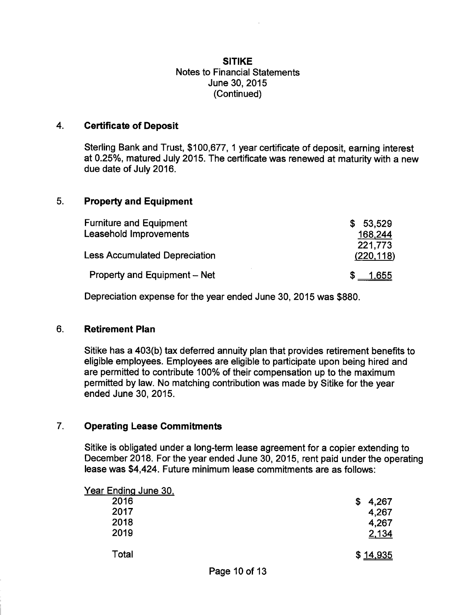#### $4.$ **Certificate of Deposit**

Sterling Bank and Trust, \$100,677, 1 year certificate of deposit, earning interest at 0.25%, matured July 2015. The certificate was renewed at maturity with a new due date of July 2016.

#### 5. **Property and Equipment**

| <b>Furniture and Equipment</b>       | \$53.529   |
|--------------------------------------|------------|
| Leasehold Improvements               | 168,244    |
|                                      | 221,773    |
| <b>Less Accumulated Depreciation</b> | (220, 118) |
| Property and Equipment – Net         | 1.655      |

Depreciation expense for the year ended June 30, 2015 was \$880.

#### $6.$ **Retirement Plan**

Sitike has a 403(b) tax deferred annuity plan that provides retirement benefits to eligible employees. Employees are eligible to participate upon being hired and are permitted to contribute 100% of their compensation up to the maximum permitted by law. No matching contribution was made by Sitike for the year ended June 30, 2015.

#### $7<sub>1</sub>$ **Operating Lease Commitments**

Sitike is obligated under a long-term lease agreement for a copier extending to December 2018. For the year ended June 30, 2015, rent paid under the operating lease was \$4,424. Future minimum lease commitments are as follows:

| Year Ending June 30, |             |
|----------------------|-------------|
| 2016                 | 4,267<br>\$ |
| 2017                 | 4,267       |
| 2018                 | 4,267       |
| 2019                 | 2,134       |
| Total                | \$14,935    |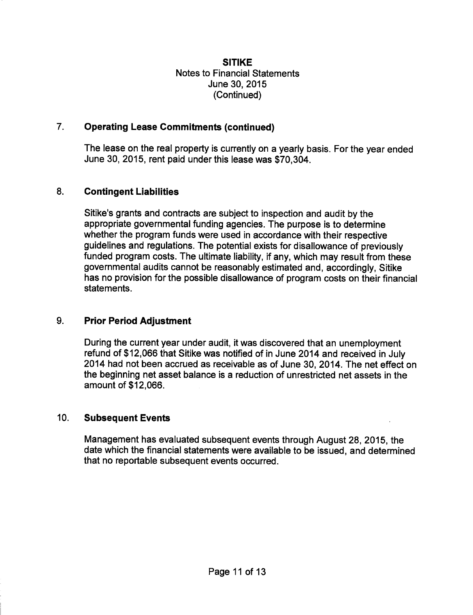#### $7<sub>1</sub>$ **Operating Lease Commitments (continued)**

The lease on the real property is currently on a yearly basis. For the year ended June 30, 2015, rent paid under this lease was \$70,304.

#### 8. **Contingent Liabilities**

Sitike's grants and contracts are subject to inspection and audit by the appropriate governmental funding agencies. The purpose is to determine whether the program funds were used in accordance with their respective guidelines and regulations. The potential exists for disallowance of previously funded program costs. The ultimate liability, if any, which may result from these governmental audits cannot be reasonably estimated and, accordingly, Sitike has no provision for the possible disallowance of program costs on their financial statements.

#### $9<sub>1</sub>$ **Prior Period Adjustment**

During the current year under audit, it was discovered that an unemployment refund of \$12,066 that Sitike was notified of in June 2014 and received in July 2014 had not been accrued as receivable as of June 30, 2014. The net effect on the beginning net asset balance is a reduction of unrestricted net assets in the amount of \$12,066.

#### $10<sub>1</sub>$ **Subsequent Events**

Management has evaluated subsequent events through August 28, 2015, the date which the financial statements were available to be issued, and determined that no reportable subsequent events occurred.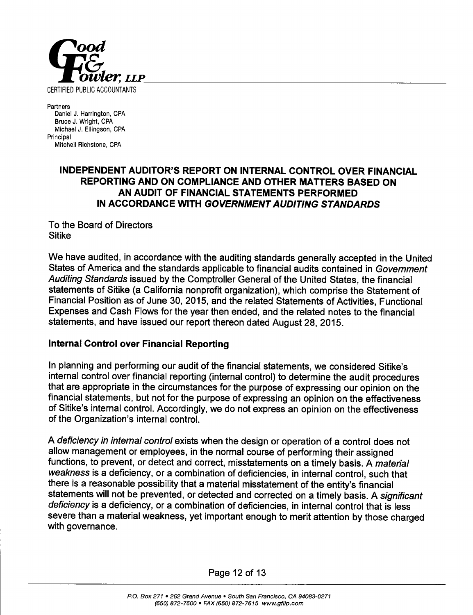

Partners Daniel J. Harrington, CPA Bruce J. Wright, CPA Michael J. Ellingson, CPA Principal Mitchell Richstone, CPA

### INDEPENDENT AUDITOR'S REPORT ON INTERNAL CONTROL OVER FINANCIAL REPORTING AND ON COMPLIANCE AND OTHER MATTERS BASED ON AN AUDIT OF FINANCIAL STATEMENTS PERFORMED IN ACCORDANCE WITH GOVERNMENT AUDITING STANDARDS

To the Board of Directors **Sitike** 

We have audited, in accordance with the auditing standards generally accepted in the United States of America and the standards applicable to financial audits contained in Government Auditing Standards issued by the Comptroller General of the United States, the financial statements of Sitike (a California nonprofit organization), which comprise the Statement of Financial Position as of June 30, 2015, and the related Statements of Activities, Functional Expenses and Cash Flows for the year then ended, and the related notes to the financial statements, and have issued our report thereon dated August 28, 2015.

# Internal Control over Financial Reporting

In planning and performing our audit of the financial statements, we considered Sitike's internal control over financial reporting (internal control) to determine the audit procedures that are appropriate in the circumstances for the purpose of expressing our opinion on the financial statements, but not for the purpose of expressing an opinion on the effectiveness of Sitike's internal control. Accordingly, we do not express an opinion on the effectiveness of the Organization's internal control.

A deficiency in internal control exists when the design or operation of a control does not allow management or employees, in the normal course of performing their assigned functions, to prevent, or detect and correct, misstatements on a timely basis. A material weakness is a deficiency, or a combination of deficiencies, in internal control, such that there is a reasonable possibility that a material misstatement of the entity's financial statements will not be prevented, or detected and corrected on a timely basis. A significant deficiency is a deficiency, or a combination of deficiencies, in internal control that is less severe than a material weakness, yet important enough to merit attention by those charged with governance.

Page 12 of 13